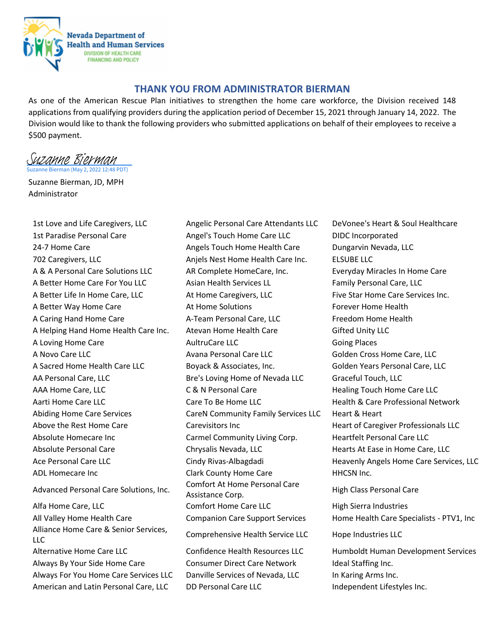

## **THANK YOU FROM ADMINISTRATOR BIERMAN**

As one of the American Rescue Plan initiatives to strengthen the home care workforce, the Division received 148 applications from qualifying providers during the application period of December 15, 2021 through January 14, 2022. The Division would like to thank the following providers who submitted applications on behalf of their employees to receive a \$500 payment.

uzanne Bierman (May 2, 2022 12:48 PDT) [Suzanne Bierman](https://microsoftintegration.na2.echosign.com/verifier?tx=CBJCHBCAABAA2QhDrJHAvDqu2Hf0dX8CBLR9ZUY7kF40)

Suzanne Bierman, JD, MPH Administrator

1st Paradise Personal Care **Angel's Touch Home Care LLC** DIDC Incorporated 24-7 Home Care **Angels Touch Home Health Care** Dungarvin Nevada, LLC 702 Caregivers, LLC Anjels Nest Home Health Care Inc. ELSUBE LLC A & A Personal Care Solutions LLC AR Complete HomeCare, Inc. Everyday Miracles In Home Care A Better Home Care For You LLC Asian Health Services LL Family Personal Care, LLC A Better Life In Home Care, LLC **At Home Caregivers, LLC** Five Star Home Care Services Inc. A Better Way Home Care **At Home Solutions** Forever Home Health A Caring Hand Home Care **A-Team Personal Care, LLC** Freedom Home Health A Helping Hand Home Health Care Inc. Atevan Home Health Care Gifted Unity LLC A Loving Home Care **AultruCare LLC AultruCare LLC** Going Places A Novo Care LLC **Avana Personal Care LLC** Golden Cross Home Care, LLC A Sacred Home Health Care LLC Boyack & Associates, Inc. Golden Years Personal Care, LLC AA Personal Care, LLC **Bretana Care Careforal Bretana Breta** Luce Graceful Touch, LLC AAA Home Care, LLC **CALC COMPTER COMPTANDED CARA HOME CARE COMPTER** COMPTERS ARE HEALTH HOME CARE LLC Aarti Home Care LLC **Care Care To Be Home LLC** Health & Care Professional Network Abiding Home Care Services **CareN Community Family Services LLC** Heart & Heart Above the Rest Home Care **Care Carevisitors Inc** Feart of Caregiver Professionals LLC Absolute Homecare Inc **Carmel Community Living Corp.** Heartfelt Personal Care LLC Absolute Personal Care Theorem Chrysalis Nevada, LLC Thearts At Ease in Home Care, LLC Ace Personal Care LLC **Communist Cindy Rivas-Albagdadi** Heavenly Angels Home Care Services, LLC ADL Homecare Inc **Clark County Home Care HHCSN Inc.** Advanced Personal Care Solutions, Inc. Comfort At Home Personal Care<br>Assistance Corp. Alfa Home Care, LLC **Comfort Home Care LLC** High Sierra Industries All Valley Home Health Care Companion Care Support Services Home Health Care Specialists - PTV1, Inc Alliance Home Care & Senior Services, Amance Home care & Senior Services, Comprehensive Health Service LLC Hope Industries LLC Alternative Home Care LLC Confidence Health Resources LLC Humboldt Human Development Services Always By Your Side Home Care Consumer Direct Care Network Ideal Staffing Inc. Always For You Home Care Services LLC Danville Services of Nevada, LLC In Karing Arms Inc.

1st Love and Life Caregivers, LLC Angelic Personal Care Attendants LLC DeVonee's Heart & Soul Healthcare

High Class Personal Care

American and Latin Personal Care, LLC DD Personal Care LLC Independent Lifestyles Inc.